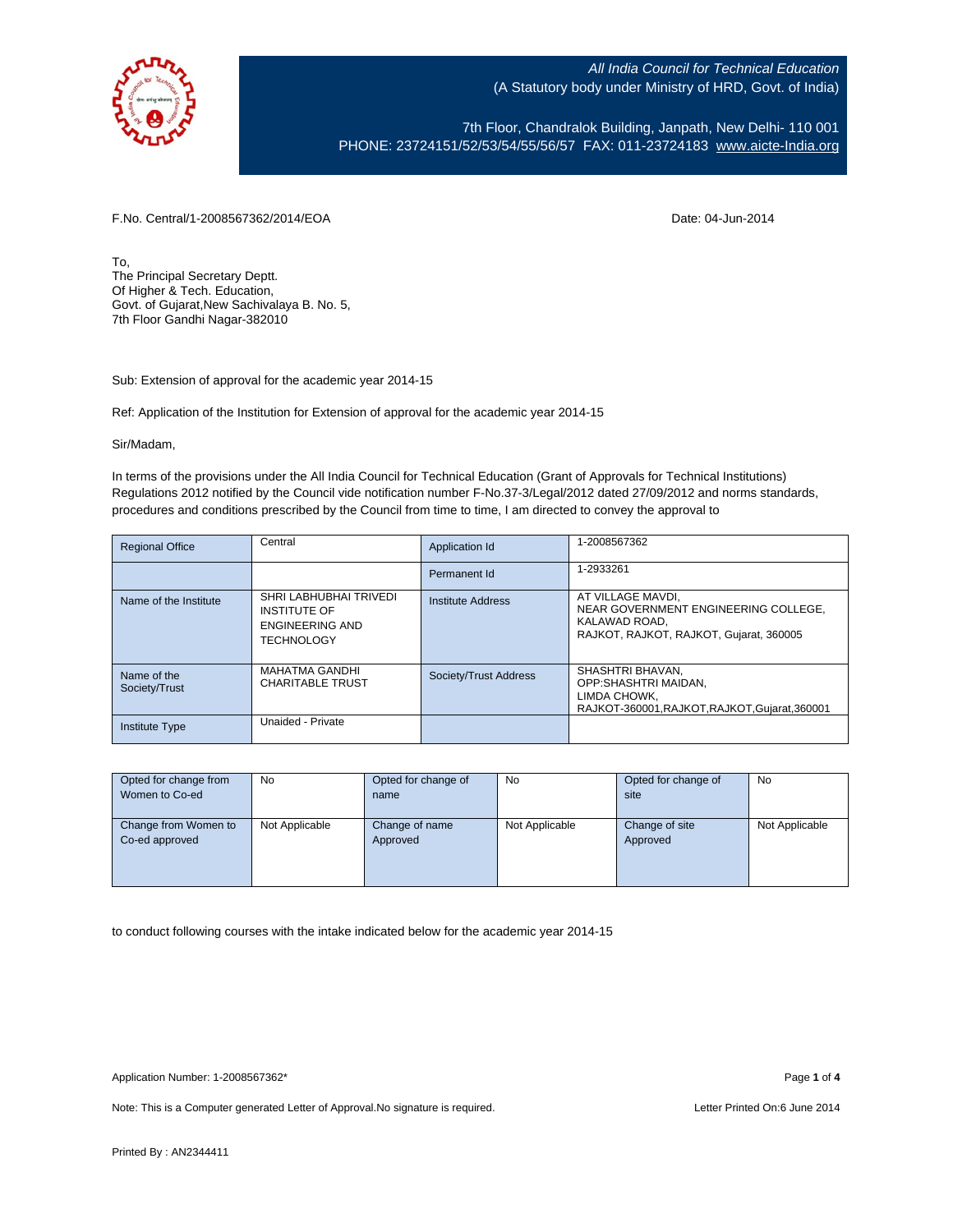

7th Floor, Chandralok Building, Janpath, New Delhi- 110 001 PHONE: 23724151/52/53/54/55/56/57 FAX: 011-23724183 [www.aicte-India.org](http://www.aicte-india.org/)

F.No. Central/1-2008567362/2014/EOA Date: 04-Jun-2014

To, The Principal Secretary Deptt. Of Higher & Tech. Education, Govt. of Gujarat,New Sachivalaya B. No. 5, 7th Floor Gandhi Nagar-382010

Sub: Extension of approval for the academic year 2014-15

Ref: Application of the Institution for Extension of approval for the academic year 2014-15

Sir/Madam,

In terms of the provisions under the All India Council for Technical Education (Grant of Approvals for Technical Institutions) Regulations 2012 notified by the Council vide notification number F-No.37-3/Legal/2012 dated 27/09/2012 and norms standards, procedures and conditions prescribed by the Council from time to time, I am directed to convey the approval to

| <b>Regional Office</b>       | Central                                                                               | Application Id        | 1-2008567362                                                                                                          |
|------------------------------|---------------------------------------------------------------------------------------|-----------------------|-----------------------------------------------------------------------------------------------------------------------|
|                              |                                                                                       | Permanent Id          | 1-2933261                                                                                                             |
| Name of the Institute        | SHRI LABHUBHAI TRIVEDI<br><b>INSTITUTE OF</b><br>ENGINEERING AND<br><b>TECHNOLOGY</b> | Institute Address     | AT VILLAGE MAVDI.<br>NEAR GOVERNMENT ENGINEERING COLLEGE.<br>KALAWAD ROAD.<br>RAJKOT, RAJKOT, RAJKOT, Gujarat, 360005 |
| Name of the<br>Society/Trust | <b>MAHATMA GANDHI</b><br><b>CHARITABLE TRUST</b>                                      | Society/Trust Address | SHASHTRI BHAVAN.<br>OPP:SHASHTRI MAIDAN.<br>LIMDA CHOWK.<br>RAJKOT-360001.RAJKOT.RAJKOT.Gujarat.360001                |
| <b>Institute Type</b>        | Unaided - Private                                                                     |                       |                                                                                                                       |

| Opted for change from | <b>No</b>      | Opted for change of | No             | Opted for change of | No             |
|-----------------------|----------------|---------------------|----------------|---------------------|----------------|
| Women to Co-ed        |                | name                |                | site                |                |
|                       |                |                     |                |                     |                |
| Change from Women to  | Not Applicable | Change of name      | Not Applicable | Change of site      | Not Applicable |
| Co-ed approved        |                | Approved            |                | Approved            |                |
|                       |                |                     |                |                     |                |
|                       |                |                     |                |                     |                |
|                       |                |                     |                |                     |                |

to conduct following courses with the intake indicated below for the academic year 2014-15

Note: This is a Computer generated Letter of Approval. No signature is required. Letter Printed On:6 June 2014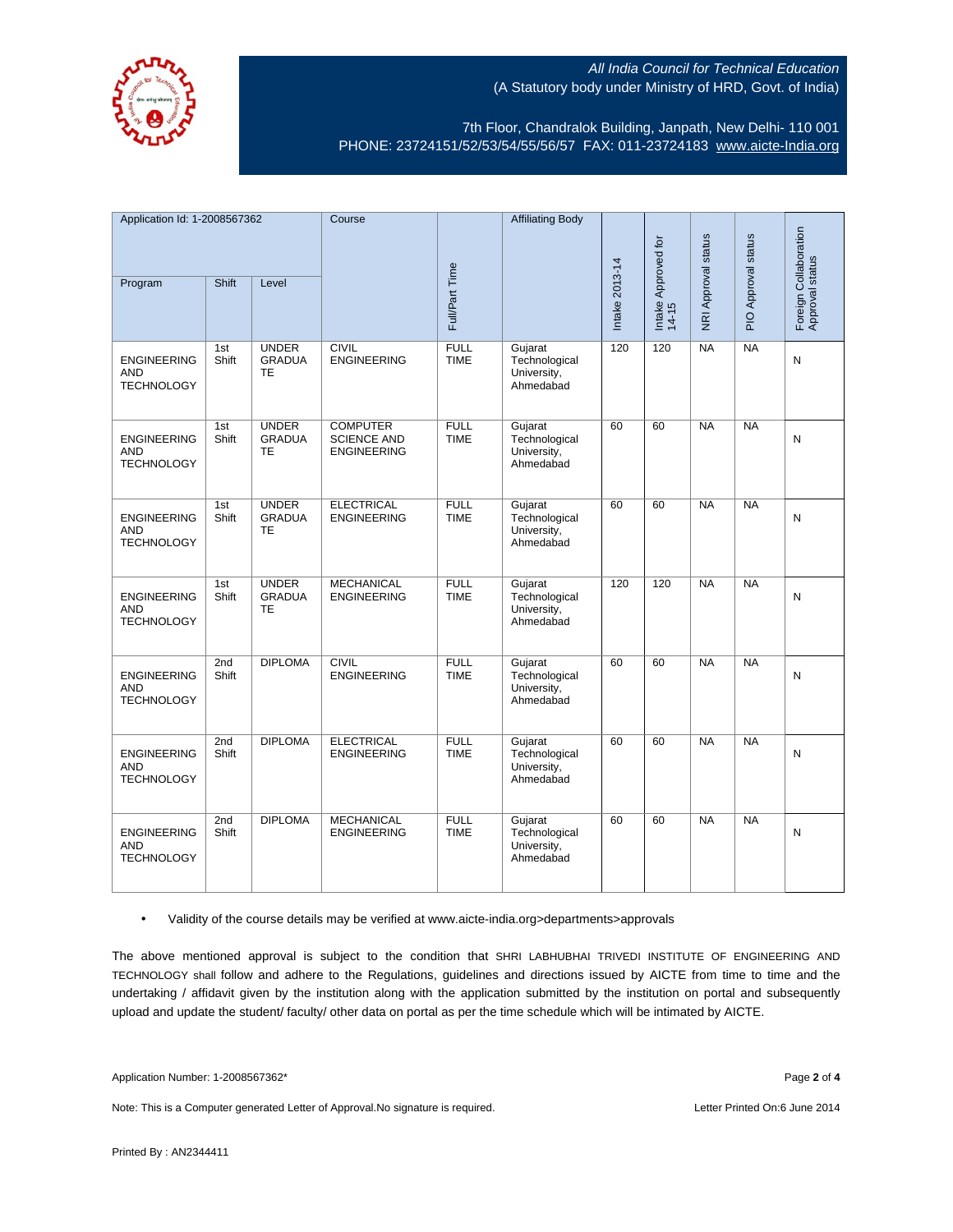

7th Floor, Chandralok Building, Janpath, New Delhi- 110 001 PHONE: 23724151/52/53/54/55/56/57 FAX: 011-23724183 [www.aicte-India.org](http://www.aicte-india.org/)

| Application Id: 1-2008567362                          |              | Course                                     |                                                             | <b>Affiliating Body</b>    |                                                      |                |                              |                     |                     |                                          |
|-------------------------------------------------------|--------------|--------------------------------------------|-------------------------------------------------------------|----------------------------|------------------------------------------------------|----------------|------------------------------|---------------------|---------------------|------------------------------------------|
| Program                                               | Shift        | Level                                      |                                                             | Full/Part Time             |                                                      | Intake 2013-14 | Intake Approved for<br>14-15 | NRI Approval status | PIO Approval status | Foreign Collaboration<br>Approval status |
| <b>ENGINEERING</b><br><b>AND</b><br><b>TECHNOLOGY</b> | 1st<br>Shift | <b>UNDER</b><br><b>GRADUA</b><br><b>TE</b> | <b>CIVIL</b><br><b>ENGINEERING</b>                          | <b>FULL</b><br><b>TIME</b> | Gujarat<br>Technological<br>University,<br>Ahmedabad | 120            | 120                          | <b>NA</b>           | <b>NA</b>           | N                                        |
| <b>ENGINEERING</b><br><b>AND</b><br><b>TECHNOLOGY</b> | 1st<br>Shift | <b>UNDER</b><br><b>GRADUA</b><br><b>TE</b> | <b>COMPUTER</b><br><b>SCIENCE AND</b><br><b>ENGINEERING</b> | <b>FULL</b><br><b>TIME</b> | Gujarat<br>Technological<br>University,<br>Ahmedabad | 60             | 60                           | <b>NA</b>           | NA                  | N                                        |
| <b>ENGINEERING</b><br><b>AND</b><br><b>TECHNOLOGY</b> | 1st<br>Shift | <b>UNDER</b><br><b>GRADUA</b><br>TE        | <b>ELECTRICAL</b><br><b>ENGINEERING</b>                     | <b>FULL</b><br><b>TIME</b> | Gujarat<br>Technological<br>University,<br>Ahmedabad | 60             | 60                           | <b>NA</b>           | <b>NA</b>           | N                                        |
| <b>ENGINEERING</b><br><b>AND</b><br><b>TECHNOLOGY</b> | 1st<br>Shift | <b>UNDER</b><br><b>GRADUA</b><br><b>TE</b> | <b>MECHANICAL</b><br><b>ENGINEERING</b>                     | <b>FULL</b><br><b>TIME</b> | Gujarat<br>Technological<br>University,<br>Ahmedabad | 120            | 120                          | <b>NA</b>           | <b>NA</b>           | N                                        |
| <b>ENGINEERING</b><br><b>AND</b><br><b>TECHNOLOGY</b> | 2nd<br>Shift | <b>DIPLOMA</b>                             | <b>CIVIL</b><br><b>ENGINEERING</b>                          | <b>FULL</b><br><b>TIME</b> | Gujarat<br>Technological<br>University,<br>Ahmedabad | 60             | 60                           | <b>NA</b>           | NA                  | N                                        |
| <b>ENGINEERING</b><br><b>AND</b><br><b>TECHNOLOGY</b> | 2nd<br>Shift | <b>DIPLOMA</b>                             | <b>ELECTRICAL</b><br><b>ENGINEERING</b>                     | <b>FULL</b><br><b>TIME</b> | Gujarat<br>Technological<br>University,<br>Ahmedabad | 60             | 60                           | <b>NA</b>           | <b>NA</b>           | N                                        |
| <b>ENGINEERING</b><br><b>AND</b><br><b>TECHNOLOGY</b> | 2nd<br>Shift | <b>DIPLOMA</b>                             | <b>MECHANICAL</b><br><b>ENGINEERING</b>                     | <b>FULL</b><br><b>TIME</b> | Gujarat<br>Technological<br>University,<br>Ahmedabad | 60             | 60                           | <b>NA</b>           | <b>NA</b>           | N                                        |

## • Validity of the course details may be verified at www.aicte-india.org>departments>approvals

The above mentioned approval is subject to the condition that SHRI LABHUBHAI TRIVEDI INSTITUTE OF ENGINEERING AND TECHNOLOGY shall follow and adhere to the Regulations, guidelines and directions issued by AICTE from time to time and the undertaking / affidavit given by the institution along with the application submitted by the institution on portal and subsequently upload and update the student/ faculty/ other data on portal as per the time schedule which will be intimated by AICTE.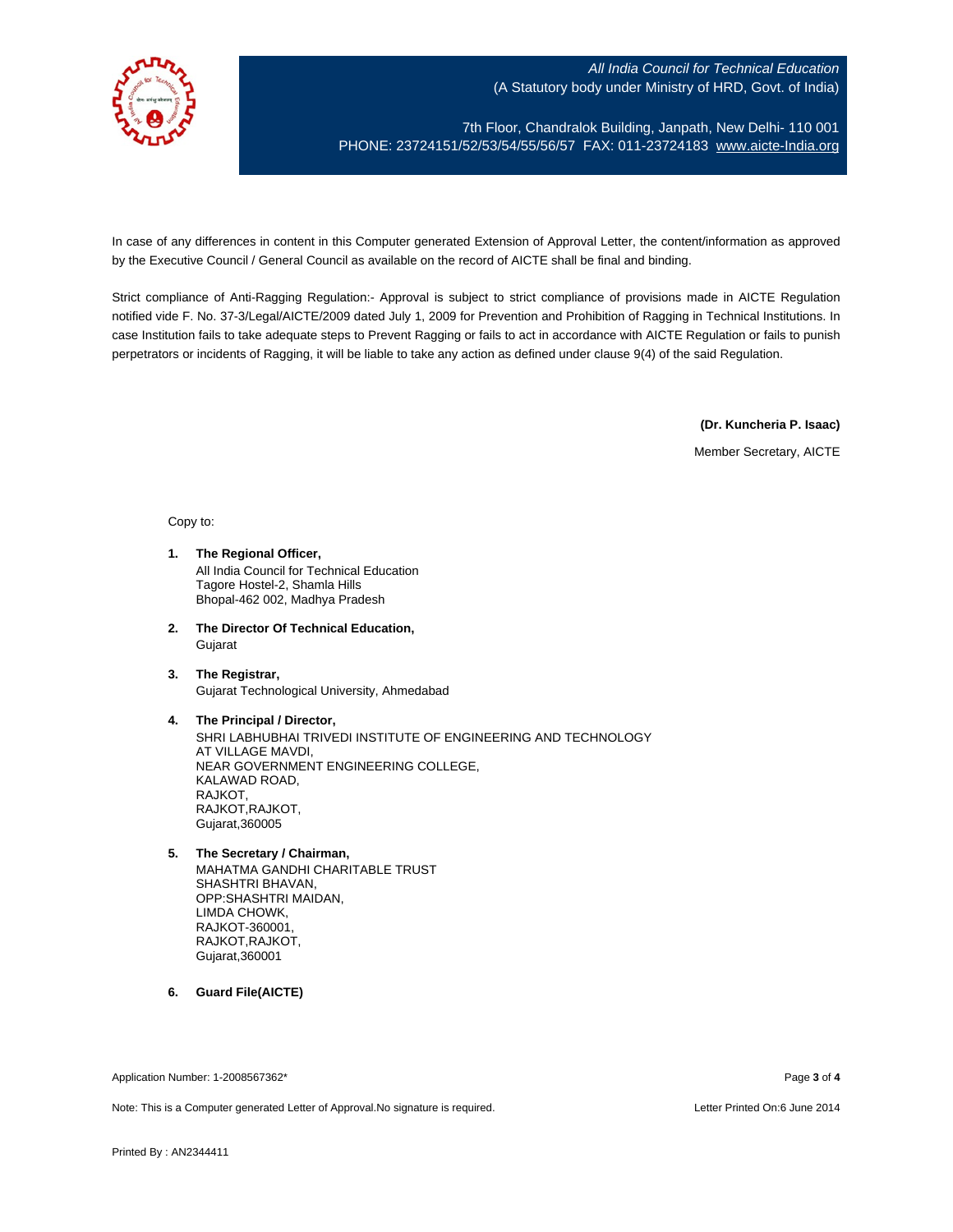

7th Floor, Chandralok Building, Janpath, New Delhi- 110 001 PHONE: 23724151/52/53/54/55/56/57 FAX: 011-23724183 [www.aicte-India.org](http://www.aicte-india.org/)

In case of any differences in content in this Computer generated Extension of Approval Letter, the content/information as approved by the Executive Council / General Council as available on the record of AICTE shall be final and binding.

Strict compliance of Anti-Ragging Regulation:- Approval is subject to strict compliance of provisions made in AICTE Regulation notified vide F. No. 37-3/Legal/AICTE/2009 dated July 1, 2009 for Prevention and Prohibition of Ragging in Technical Institutions. In case Institution fails to take adequate steps to Prevent Ragging or fails to act in accordance with AICTE Regulation or fails to punish perpetrators or incidents of Ragging, it will be liable to take any action as defined under clause 9(4) of the said Regulation.

**(Dr. Kuncheria P. Isaac)**

Member Secretary, AICTE

Copy to:

- **1. The Regional Officer,** All India Council for Technical Education Tagore Hostel-2, Shamla Hills Bhopal-462 002, Madhya Pradesh
- **2. The Director Of Technical Education,** Gujarat
- **3. The Registrar,** Gujarat Technological University, Ahmedabad
- **4. The Principal / Director,** SHRI LABHUBHAI TRIVEDI INSTITUTE OF ENGINEERING AND TECHNOLOGY AT VILLAGE MAVDI, NEAR GOVERNMENT ENGINEERING COLLEGE, KALAWAD ROAD, RAJKOT, RAJKOT,RAJKOT, Gujarat,360005
- **5. The Secretary / Chairman,** MAHATMA GANDHI CHARITABLE TRUST SHASHTRI BHAVAN, OPP:SHASHTRI MAIDAN, LIMDA CHOWK, RAJKOT-360001, RAJKOT,RAJKOT, Gujarat,360001
- **6. Guard File(AICTE)**

Application Number: 1-2008567362\* Page **3** of **4**

Note: This is a Computer generated Letter of Approval.No signature is required. Letter Printed On:6 June 2014